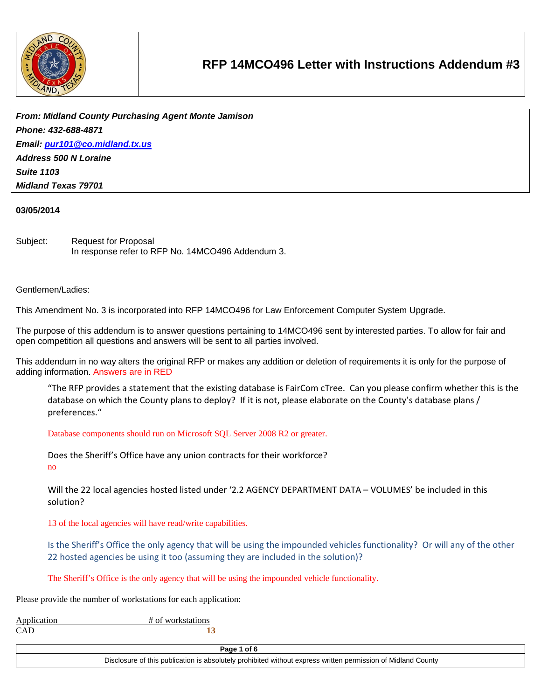

*From: Midland County Purchasing Agent Monte Jamison Phone: 432-688-4871 Email: [pur101@co.midland.tx.us](mailto:pur101@co.midland.tx.us) Address 500 N Loraine Suite 1103 Midland Texas 79701*

### **03/05/2014**

Subject: Request for Proposal In response refer to RFP No. 14MCO496 Addendum 3.

#### Gentlemen/Ladies:

This Amendment No. 3 is incorporated into RFP 14MCO496 for Law Enforcement Computer System Upgrade.

The purpose of this addendum is to answer questions pertaining to 14MCO496 sent by interested parties. To allow for fair and open competition all questions and answers will be sent to all parties involved.

This addendum in no way alters the original RFP or makes any addition or deletion of requirements it is only for the purpose of adding information. Answers are in RED

"The RFP provides a statement that the existing database is FairCom cTree. Can you please confirm whether this is the database on which the County plans to deploy? If it is not, please elaborate on the County's database plans / preferences."

Database components should run on Microsoft SQL Server 2008 R2 or greater.

Does the Sheriff's Office have any union contracts for their workforce? no

Will the 22 local agencies hosted listed under '2.2 AGENCY DEPARTMENT DATA – VOLUMES' be included in this solution?

13 of the local agencies will have read/write capabilities.

Is the Sheriff's Office the only agency that will be using the impounded vehicles functionality? Or will any of the other 22 hosted agencies be using it too (assuming they are included in the solution)?

The Sheriff's Office is the only agency that will be using the impounded vehicle functionality.

Please provide the number of workstations for each application:

| Application | # of workstations |
|-------------|-------------------|
| <b>CAD</b>  |                   |

**Page 1 of 6**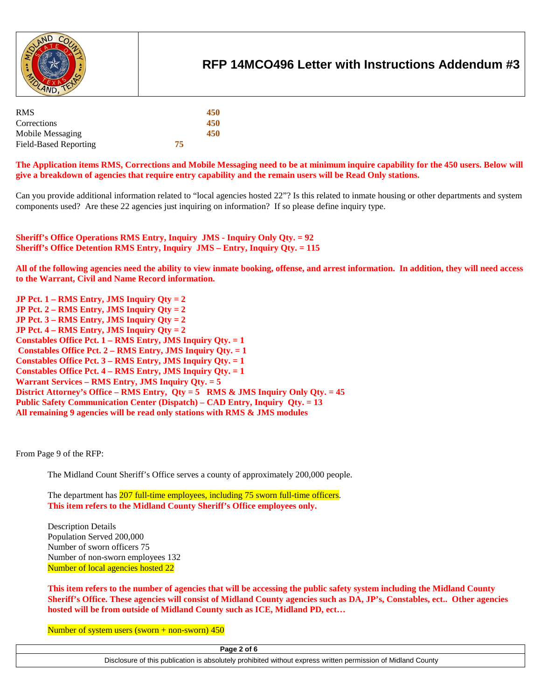

| <b>RMS</b>            |    | 450 |
|-----------------------|----|-----|
| Corrections           |    | 450 |
| Mobile Messaging      |    | 450 |
| Field-Based Reporting | 75 |     |

**The Application items RMS, Corrections and Mobile Messaging need to be at minimum inquire capability for the 450 users. Below will give a breakdown of agencies that require entry capability and the remain users will be Read Only stations.**

Can you provide additional information related to "local agencies hosted 22"? Is this related to inmate housing or other departments and system components used? Are these 22 agencies just inquiring on information? If so please define inquiry type.

**Sheriff's Office Operations RMS Entry, Inquiry JMS - Inquiry Only Qty. = 92 Sheriff's Office Detention RMS Entry, Inquiry JMS – Entry, Inquiry Qty. = 115**

**All of the following agencies need the ability to view inmate booking, offense, and arrest information. In addition, they will need access to the Warrant, Civil and Name Record information.**

**JP Pct. 1 – RMS Entry, JMS Inquiry Qty = 2 JP Pct. 2 – RMS Entry, JMS Inquiry Qty = 2 JP Pct. 3 – RMS Entry, JMS Inquiry Qty = 2 JP Pct. 4 – RMS Entry, JMS Inquiry Qty = 2 Constables Office Pct. 1 – RMS Entry, JMS Inquiry Qty. = 1 Constables Office Pct. 2 – RMS Entry, JMS Inquiry Qty. = 1 Constables Office Pct. 3 – RMS Entry, JMS Inquiry Qty. = 1 Constables Office Pct. 4 – RMS Entry, JMS Inquiry Qty. = 1 Warrant Services – RMS Entry, JMS Inquiry Qty. = 5 District Attorney's Office – RMS Entry, Qty = 5 RMS & JMS Inquiry Only Qty. = 45 Public Safety Communication Center (Dispatch) – CAD Entry, Inquiry Qty. = 13 All remaining 9 agencies will be read only stations with RMS & JMS modules**

From Page 9 of the RFP:

The Midland Count Sheriff's Office serves a county of approximately 200,000 people.

The department has 207 full-time employees, including 75 sworn full-time officers. **This item refers to the Midland County Sheriff's Office employees only.**

Description Details Population Served 200,000 Number of sworn officers 75 Number of non-sworn employees 132 Number of local agencies hosted 22

**This item refers to the number of agencies that will be accessing the public safety system including the Midland County Sheriff's Office. These agencies will consist of Midland County agencies such as DA, JP's, Constables, ect.. Other agencies hosted will be from outside of Midland County such as ICE, Midland PD, ect…**

Number of system users (sworn  $+$  non-sworn) 450

**Page 2 of 6**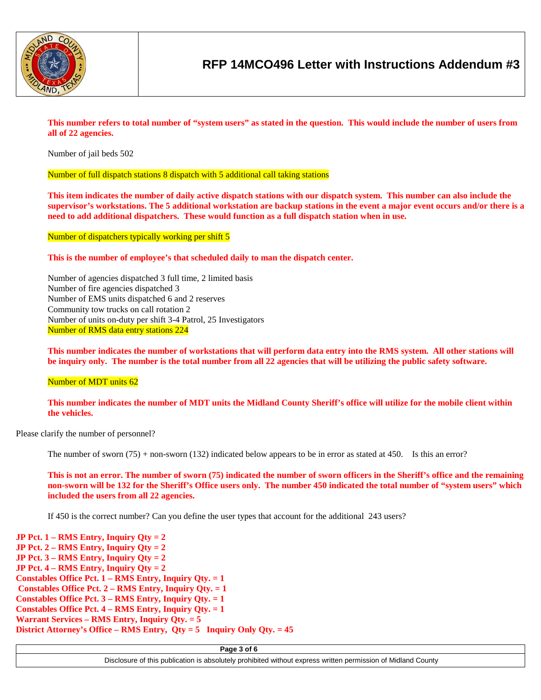

**This number refers to total number of "system users" as stated in the question. This would include the number of users from all of 22 agencies.**

Number of jail beds 502

Number of full dispatch stations 8 dispatch with 5 additional call taking stations

**This item indicates the number of daily active dispatch stations with our dispatch system. This number can also include the supervisor's workstations. The 5 additional workstation are backup stations in the event a major event occurs and/or there is a need to add additional dispatchers. These would function as a full dispatch station when in use.**

Number of dispatchers typically working per shift 5

**This is the number of employee's that scheduled daily to man the dispatch center.**

Number of agencies dispatched 3 full time, 2 limited basis Number of fire agencies dispatched 3 Number of EMS units dispatched 6 and 2 reserves Community tow trucks on call rotation 2 Number of units on-duty per shift 3-4 Patrol, 25 Investigators Number of RMS data entry stations 224

**This number indicates the number of workstations that will perform data entry into the RMS system. All other stations will be inquiry only. The number is the total number from all 22 agencies that will be utilizing the public safety software.**

Number of MDT units 62

**This number indicates the number of MDT units the Midland County Sheriff's office will utilize for the mobile client within the vehicles.** 

Please clarify the number of personnel?

The number of sworn (75) + non-sworn (132) indicated below appears to be in error as stated at 450. Is this an error?

**This is not an error. The number of sworn (75) indicated the number of sworn officers in the Sheriff's office and the remaining non-sworn will be 132 for the Sheriff's Office users only. The number 450 indicated the total number of "system users" which included the users from all 22 agencies.** 

If 450 is the correct number? Can you define the user types that account for the additional 243 users?

**JP Pct. 1 – RMS Entry, Inquiry Qty = 2 JP Pct. 2 – RMS Entry, Inquiry Qty = 2 JP Pct. 3 – RMS Entry, Inquiry Qty = 2 JP Pct. 4 – RMS Entry, Inquiry Qty = 2 Constables Office Pct. 1 – RMS Entry, Inquiry Qty. = 1 Constables Office Pct. 2 – RMS Entry, Inquiry Qty. = 1 Constables Office Pct. 3 – RMS Entry, Inquiry Qty. = 1 Constables Office Pct. 4 – RMS Entry, Inquiry Qty. = 1 Warrant Services – RMS Entry, Inquiry Qty. = 5 District Attorney's Office – RMS Entry, Qty = 5 Inquiry Only Qty. = 45**

**Page 3 of 6**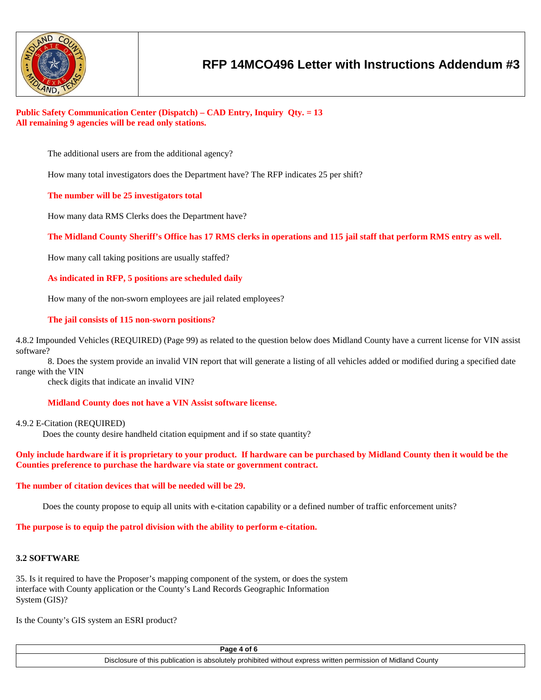

## **Public Safety Communication Center (Dispatch) – CAD Entry, Inquiry Qty. = 13 All remaining 9 agencies will be read only stations.**

The additional users are from the additional agency?

How many total investigators does the Department have? The RFP indicates 25 per shift?

**The number will be 25 investigators total**

How many data RMS Clerks does the Department have?

**The Midland County Sheriff's Office has 17 RMS clerks in operations and 115 jail staff that perform RMS entry as well.**

How many call taking positions are usually staffed?

**As indicated in RFP, 5 positions are scheduled daily**

How many of the non-sworn employees are jail related employees?

### **The jail consists of 115 non-sworn positions?**

4.8.2 Impounded Vehicles (REQUIRED) (Page 99) as related to the question below does Midland County have a current license for VIN assist software?

8. Does the system provide an invalid VIN report that will generate a listing of all vehicles added or modified during a specified date range with the VIN

check digits that indicate an invalid VIN?

#### **Midland County does not have a VIN Assist software license.**

### 4.9.2 E-Citation (REQUIRED)

Does the county desire handheld citation equipment and if so state quantity?

### **Only include hardware if it is proprietary to your product. If hardware can be purchased by Midland County then it would be the Counties preference to purchase the hardware via state or government contract.**

#### **The number of citation devices that will be needed will be 29.**

Does the county propose to equip all units with e-citation capability or a defined number of traffic enforcement units?

**The purpose is to equip the patrol division with the ability to perform e-citation.**

### **3.2 SOFTWARE**

35. Is it required to have the Proposer's mapping component of the system, or does the system interface with County application or the County's Land Records Geographic Information System (GIS)?

Is the County's GIS system an ESRI product?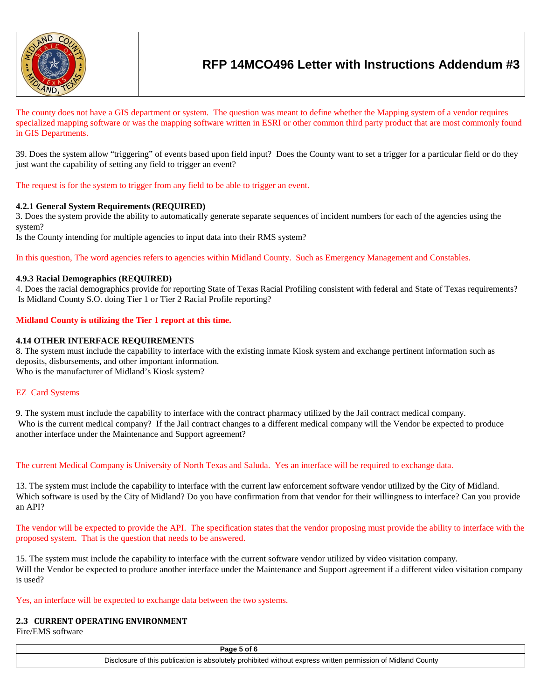

The county does not have a GIS department or system. The question was meant to define whether the Mapping system of a vendor requires specialized mapping software or was the mapping software written in ESRI or other common third party product that are most commonly found in GIS Departments.

39. Does the system allow "triggering" of events based upon field input? Does the County want to set a trigger for a particular field or do they just want the capability of setting any field to trigger an event?

The request is for the system to trigger from any field to be able to trigger an event.

## **4.2.1 General System Requirements (REQUIRED)**

3. Does the system provide the ability to automatically generate separate sequences of incident numbers for each of the agencies using the system?

Is the County intending for multiple agencies to input data into their RMS system?

In this question, The word agencies refers to agencies within Midland County. Such as Emergency Management and Constables.

## **4.9.3 Racial Demographics (REQUIRED)**

4. Does the racial demographics provide for reporting State of Texas Racial Profiling consistent with federal and State of Texas requirements? Is Midland County S.O. doing Tier 1 or Tier 2 Racial Profile reporting?

## **Midland County is utilizing the Tier 1 report at this time.**

## **4.14 OTHER INTERFACE REQUIREMENTS**

8. The system must include the capability to interface with the existing inmate Kiosk system and exchange pertinent information such as deposits, disbursements, and other important information. Who is the manufacturer of Midland's Kiosk system?

## EZ Card Systems

9. The system must include the capability to interface with the contract pharmacy utilized by the Jail contract medical company. Who is the current medical company? If the Jail contract changes to a different medical company will the Vendor be expected to produce another interface under the Maintenance and Support agreement?

The current Medical Company is University of North Texas and Saluda. Yes an interface will be required to exchange data.

13. The system must include the capability to interface with the current law enforcement software vendor utilized by the City of Midland. Which software is used by the City of Midland? Do you have confirmation from that vendor for their willingness to interface? Can you provide an API?

The vendor will be expected to provide the API. The specification states that the vendor proposing must provide the ability to interface with the proposed system. That is the question that needs to be answered.

15. The system must include the capability to interface with the current software vendor utilized by video visitation company. Will the Vendor be expected to produce another interface under the Maintenance and Support agreement if a different video visitation company is used?

Yes, an interface will be expected to exchange data between the two systems.

#### **2.3 CURRENT OPERATING ENVIRONMENT**

Fire/EMS software

**Page 5 of 6**